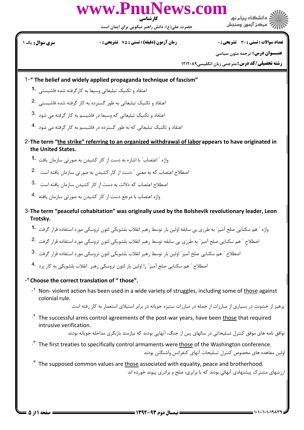

حضرت علی(ع): دانش راهبر نیکویی برای ایمان است

**تعداد سوالات : تستي : 30 - تشريحي : 0** 

**سری سوال :** یک ۱

**زمان آزمون (دقیقه) : تستی : 75 تشریحی: 0** 

**عنــوان درس:** ترجمه متون سیاسی

**رشته تحصیلی/کد درس: مترجمی زبان انگلیسی1۲۱۲۰۸۹** 

1-" The belief and widely applied propaganda technique of fascism"

- اعتقاد و تكنيك تبليغاتي وسيعا به كارگرفته شده فاشيستي 1.
- اعتقاد و تکنیک تبلیغاتی به طور گسترده به کار گرفته شده فاشیستی . 2
- اعتقاد و تکنیک تبلیغاتی که وسیعا در فاشیسم به کار گرفته می شود 3.
- اعتقاد و تکنیک تبلیغاتی که به طور گسترده در فاشیسم به کار گرفته می شود <sup>4</sup>۰
- 2- The term "the strike" referring to an organized withdrawal of labor appears to have originated in the United States.
	- واژه " اعتصاب ّ یا اشاره به دست از کار کشیدن به صورتی سازمان یافت <sup>-1</sup>
	- اصطلاح اعتصاب که به معنی " دست از کار کشیدن به صورتی سازمان یافته است . 2
	- اصطلاح اعتصاب كه دلالت به دست از كار كشيدن سازمان يافته است .3
	- واژه اعتصاب با مرجع دست از کار کشیدن به صورتی سازمان یافته 4.
- 3- The term "peaceful cohabitation" was originally used by the Bolshevik revolutionary leader, Leon Trotsky.
	- واژه " هم سكنايي صلح آميز" به طرزي بي سابقه اولين بار توسط رهبر انقلاب بلشويكي لئون تروسكي مورد استفاده قرار گرفت 1۰
	- اصطلاح " هم سكنايي صلح آميز " به طرزي بي سابقه توسط رهبر انقلاب بلشويكي لئون تروسكي مورد استفاده قرار گرفت <sup>. 2</sup>
	- اصطلاح " هم سكنايي صلح آميز " اولين بار توسط رهبر انقلاب بلشويكي لئون تروسكي مورد استفاده فرار گرفت <sup>. 3</sup>
	- اصطلاح " هم سكنايي صلح آميز " را اولين بار لئون تروسكي رهبر انقلاب بلشويكي به كار برد <sup>.4</sup>

-<sup>\*</sup> Choose the correct translation of " those".

 $\cdot$  Non-violent action has been used in a wide variety of struggles, including some of those against colonial rule.

یرهیز از خشونت در بسیاری از مبارزات از جمله در مبارزات ستیزه جویانه در برابر استبلای استعمار به کار رفته است

<sup>1</sup>. The successful arms control agreements of the post-war years, have been those that required intrusive verification.

توافق نامه های موفق کنترل تسلیحاتی در سالهای پس از جنگ، آنهایی بودند که نیازمند بازنگری مداخله جویانه بودند

.<sup>\*</sup> The first treaties to specifically control armaments were those of the Washington conference. اولين معاهده هاى مخصوص كنترل تسليحات آنهاى كنفرانس واشنگتن بودند

 $\cdot^*$  The supposed common values are those associated with equality, peace and brotherhood. ارزشهای مشترک پیشنهادی آنهائی بودند که با برابری، صلح و برادری پیوند خورده اند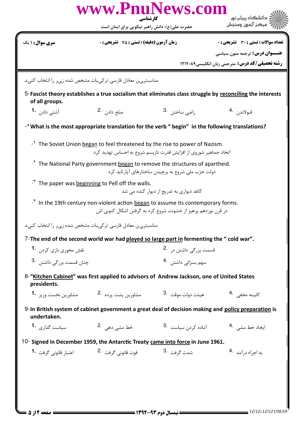|                                                                                                                                                                                                                                                                                                                | www.PnuNews.com<br>کارشناسی<br>حضرت علی(ع): دانش راهبر نیکویی برای ایمان است                 |                                                               | دانشگاه پیام نور<br>مركز آزمون وسنجش                                                                      |  |  |  |
|----------------------------------------------------------------------------------------------------------------------------------------------------------------------------------------------------------------------------------------------------------------------------------------------------------------|----------------------------------------------------------------------------------------------|---------------------------------------------------------------|-----------------------------------------------------------------------------------------------------------|--|--|--|
| <b>سری سوال : ۱ یک</b>                                                                                                                                                                                                                                                                                         | <b>زمان آزمون (دقیقه) : تستی : 75 تشریحی : 0</b>                                             |                                                               | تعداد سوالات : تستى : 30 ٪ تشريحي : 0                                                                     |  |  |  |
|                                                                                                                                                                                                                                                                                                                |                                                                                              |                                                               | <b>عنـــوان درس:</b> ترجمه متون سیاسی                                                                     |  |  |  |
|                                                                                                                                                                                                                                                                                                                |                                                                                              |                                                               | <b>رشته تحصیلی/کد درس:</b> مترجمی زبان انگلیسی1۲۱۲۰۸۹                                                     |  |  |  |
| مناسبتری ن معادل فارسی ترکی بات مشخص شده زی ر را انتخاب کنی د.                                                                                                                                                                                                                                                 |                                                                                              |                                                               |                                                                                                           |  |  |  |
| of all groups.                                                                                                                                                                                                                                                                                                 |                                                                                              |                                                               | 5-Fascist theory establishes a true socialism that eliminates class struggle by reconciling the interests |  |  |  |
| آشتی دادن <b>1۰</b>                                                                                                                                                                                                                                                                                            | صلح دادن .2                                                                                  | راضي ساختن .3                                                 | قبولاندن 4.                                                                                               |  |  |  |
| $-\hat{r}$ What is the most appropriate translation for the verb " begin" in the following translations?                                                                                                                                                                                                       |                                                                                              |                                                               |                                                                                                           |  |  |  |
| . <sup>1</sup> The Soviet Union began to feel threatened by the rise to power of Nazism.<br>اتحاد جماهیر شوروی از افزایش قدرت نازیسم شروع به احساس تهدید کرد<br><sup>.Y</sup> The National Party government began to remove the structures of apartheid.<br>دولت حزب ملی شروع به برچیدن ساختارهای آپارتاید کرد |                                                                                              |                                                               |                                                                                                           |  |  |  |
|                                                                                                                                                                                                                                                                                                                | <sup>. T</sup> The paper was beginning to Pell off the walls.                                | کاغذ دیواری به تدریج از دیوار کنده می شد                      |                                                                                                           |  |  |  |
|                                                                                                                                                                                                                                                                                                                | <sup>.*</sup> In the 19th century non-violent action began to assume its contemporary forms. | در قرن نوزدهم پرهیز از خشونت شروع کرد به گرفتن اشکال کنونی اش |                                                                                                           |  |  |  |
| مناسبتری ن معادل فارسی ترکی بات مشخص شده زی ر را انتخاب کنی د.                                                                                                                                                                                                                                                 |                                                                                              |                                                               |                                                                                                           |  |  |  |
| 7-The end of the second world war had played so large part in fermenting the " cold war".                                                                                                                                                                                                                      |                                                                                              |                                                               |                                                                                                           |  |  |  |
| نقش محوری بازی کردن 1.                                                                                                                                                                                                                                                                                         |                                                                                              | قسمت بزرگی داشتن در <sup>2</sup> ۰                            |                                                                                                           |  |  |  |
| چنان قسمت بزرگی داشتن . 3                                                                                                                                                                                                                                                                                      |                                                                                              | سهم بسزائی داشتن .4                                           |                                                                                                           |  |  |  |
| 8-"Kitchen Cabinet" was first applied to advisors of Andrew Jackson, one of United States<br>presidents.                                                                                                                                                                                                       |                                                                                              |                                                               |                                                                                                           |  |  |  |
| مشاورين نخست وزير <b>1</b> ۰                                                                                                                                                                                                                                                                                   |                                                                                              |                                                               | کابینه مخفی . <sup>4</sup>                                                                                |  |  |  |
| 9-In British system of cabinet government a great deal of decision making and policy preparation is<br>undertaken.                                                                                                                                                                                             |                                                                                              |                                                               |                                                                                                           |  |  |  |
| سیاست گذا <sub>ر</sub> ی <b>1</b> ۰                                                                                                                                                                                                                                                                            | خط مشے <sub>،</sub> دھے <sub>،</sub> 2.                                                      | آماده کردن سیاست <sup>3</sup> ۰                               | ایجاد خط مشے <sub>،</sub> <sup>.4</sup>                                                                   |  |  |  |
|                                                                                                                                                                                                                                                                                                                | 10- Signed in December 1959, the Antarctic Treaty came into force in June 1961.              |                                                               |                                                                                                           |  |  |  |
| اعتبا <sub>ً</sub> قانونی گرفت <b>-1</b>                                                                                                                                                                                                                                                                       | قوت قانونی گرفت۔ 2.                                                                          | شدت گرفت .3                                                   | به اجراء درآمد 4.                                                                                         |  |  |  |
|                                                                                                                                                                                                                                                                                                                |                                                                                              |                                                               |                                                                                                           |  |  |  |
|                                                                                                                                                                                                                                                                                                                |                                                                                              |                                                               |                                                                                                           |  |  |  |
|                                                                                                                                                                                                                                                                                                                |                                                                                              |                                                               |                                                                                                           |  |  |  |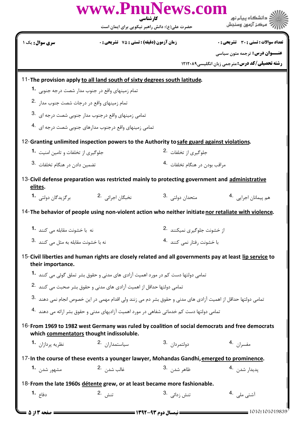|                                                                           |                                                                                          | uNews.com<br>کار شناسی                                                                                                   | دانشگاه ييام نور                                       |  |
|---------------------------------------------------------------------------|------------------------------------------------------------------------------------------|--------------------------------------------------------------------------------------------------------------------------|--------------------------------------------------------|--|
|                                                                           | حضرت علی(ع): دانش راهبر نیکویی برای ایمان است                                            |                                                                                                                          | مركز آزمون وسنجش                                       |  |
| <b>سری سوال :</b> یک ۱                                                    | <b>زمان آزمون (دقیقه) : تستی : 75 ٪ تشریحی : 0</b>                                       |                                                                                                                          | تعداد سوالات : تستى : 30 ٪ تشريحي : 0                  |  |
|                                                                           |                                                                                          |                                                                                                                          | <b>عنـــوان درس:</b> ترجمه متون سیاسی                  |  |
|                                                                           |                                                                                          |                                                                                                                          | <b>رشته تحصیلی/کد درس: مترجمی زبان انگلیسی ۱۲۱۲۰۸۹</b> |  |
| 11-The provision apply to all land south of sixty degrees south latitude. |                                                                                          |                                                                                                                          |                                                        |  |
|                                                                           | تمام زمینهای واقع در جنوب مدار شصت درجه جنوبی 1.                                         |                                                                                                                          |                                                        |  |
| تمام زمینهای واقع در درجات شصت جنوب مدار .2                               |                                                                                          |                                                                                                                          |                                                        |  |
|                                                                           | تمامی زمینهای واقع درجنوب مدار جنوبی شصت درجه ای 3.                                      |                                                                                                                          |                                                        |  |
|                                                                           | تمامی زمینهای واقع درجنوب مدارهای جنوبی شصت درجه ای . 4                                  |                                                                                                                          |                                                        |  |
|                                                                           |                                                                                          | 12-Granting unlimited inspection powers to the Authority to safe guard against violations.                               |                                                        |  |
| جلوگیری از تخلفات و تامین امنیت 1۰                                        |                                                                                          | جلوگیری از تخلفات <sup>.2</sup>                                                                                          |                                                        |  |
| تضمین داد <sub>ن</sub> د <sub>ر</sub> هنگام تخلفات 3۰                     |                                                                                          | مراقب بودن در هنگام تخلفات 4.                                                                                            |                                                        |  |
| elites.                                                                   |                                                                                          | 13-Civil defense preparation was restricted mainly to protecting government and administrative                           |                                                        |  |
| برگزيدگان دولتي. <b>1</b> ۰                                               | نخبگان اجرائی <sup>2</sup> ۰                                                             | متحدان دولتي . <sup>3</sup>                                                                                              | هم پیمانان اجرایی <sup>4</sup> ۰                       |  |
|                                                                           |                                                                                          | 14-The behavior of people using non-violent action who neither initiate nor retaliate with violence.                     |                                                        |  |
| نه  با خشونت مقابله مے ، کنند <b>1۰</b>                                   |                                                                                          | از خشونت جلوگیری نمیکنند 2.                                                                                              |                                                        |  |
| نه با خشونت مقابله به مثل می کنند 3.                                      |                                                                                          | با خشونت رفتار نمی کنند <sup>.4</sup>                                                                                    |                                                        |  |
| their importance.                                                         |                                                                                          | 15-Civil liberties and human rights are closely related and all governments pay at least lip service to                  |                                                        |  |
|                                                                           | تمامی دولتها دست کم در مورد اهمیت آزادی های مدنی و حقوق بشر تملق گوئی می کنند <b>1</b> ۰ |                                                                                                                          |                                                        |  |
|                                                                           | تمامی دولتها حداقل از اهمیت آزادی های مدنی و حقوق بشر صحبت می کنند <sup>.2</sup>         |                                                                                                                          |                                                        |  |
|                                                                           |                                                                                          | تمامی دولتها حداقل از اهمیت آزادی های مدنی و حقوق بشر دم می زنند ولی اقدام مهمی در این خصوص انجام نمی دهند <sup>.3</sup> |                                                        |  |
|                                                                           |                                                                                          | تمامی دولتها دست کم خدماتی شفاهی در مورد اهمیت آزادیهای مدنی و حقوق بشر ارائه می دهند <sup>.4</sup>                      |                                                        |  |
|                                                                           | which commentators thought indissoluble.                                                 | 16-From 1969 to 1982 west Germany was ruled by coalition of social democrats and free democrats                          |                                                        |  |
| نظريه پردازان <b>1</b> ۰                                                  | سياستمداران 2.                                                                           | دولتمردان 3.                                                                                                             | مفسران 4.                                              |  |
|                                                                           |                                                                                          | 17-In the course of these events a younger lawyer, Mohandas Gandhi, emerged to prominence.                               |                                                        |  |
| مشهور شدن <b>1.</b>                                                       | غالب شدن 2.                                                                              | ظاهر شد <sub>ن،</sub> 3.                                                                                                 | پديدا <sub>ر</sub> شد <sub>ن</sub> .4                  |  |
| 18-From the late 1960s détente grew, or at least became more fashionable. |                                                                                          |                                                                                                                          |                                                        |  |
| دفاع <b>1.</b>                                                            | تنش .2                                                                                   | تنش زدائے <sub>،</sub> 3.                                                                                                | آشتی ملی . 4                                           |  |
| صفحه 13 از 5                                                              |                                                                                          | == نیمسال دوم ۹۳-۱۳۹۲ =                                                                                                  | $=$ 1010/101019839                                     |  |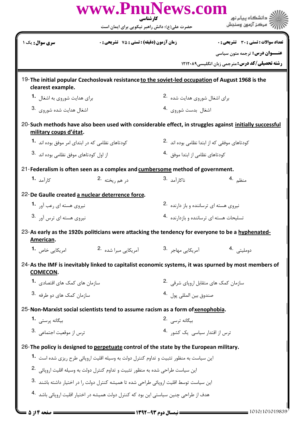| www.PnuNews.com<br>ے دانشگاہ ییام نو <b>ر</b>                                                                  |                                                                                                         |                                              |                                                                                                      |  |  |
|----------------------------------------------------------------------------------------------------------------|---------------------------------------------------------------------------------------------------------|----------------------------------------------|------------------------------------------------------------------------------------------------------|--|--|
|                                                                                                                | کارشناسی<br>حضرت علی(ع): دانش راهبر نیکویی برای ایمان است                                               |                                              | ُ مرڪز آزمون وسنڊش                                                                                   |  |  |
| <b>سری سوال :</b> یک ۱                                                                                         | <b>زمان آزمون (دقیقه) : تستی : 75 ٪ تشریحی : 0</b>                                                      |                                              | <b>تعداد سوالات : تستی : 30 ٪ تشریحی : 0</b>                                                         |  |  |
|                                                                                                                |                                                                                                         |                                              | <b>عنـــوان درس:</b> ترجمه متون سیاسی<br><b>رشته تحصیلی/کد درس: مترجمی زبان انگلیسی1۲۱۲۰۸۹</b>       |  |  |
|                                                                                                                |                                                                                                         |                                              |                                                                                                      |  |  |
| clearest example.                                                                                              | 19-The initial popular Czechoslovak resistance to the soviet-led occupation of August 1968 is the       |                                              |                                                                                                      |  |  |
| برای هدایت شوروی به اشغال <sup>1</sup> ۰                                                                       |                                                                                                         | برای اشغال شوروی هدایت شده 2.                |                                                                                                      |  |  |
| 3. اشغال هدايت شده شوروي.                                                                                      |                                                                                                         | اشغال بدست شوروى 4.                          |                                                                                                      |  |  |
| military coups d'état.                                                                                         | 20-Such methods have also been used with considerable effect, in struggles against initially successful |                                              |                                                                                                      |  |  |
| کودتاهای نظامی که در ابتدای امر موفق بوده اند 1.                                                               |                                                                                                         | کودتاهای موفقی که از ابتدا نظامی بوده اند 2. |                                                                                                      |  |  |
| از اول کودتاهای موفق نظامی بوده اند 3.                                                                         |                                                                                                         | کودتاهای نظامی از ابتدا موفق <sup>4</sup> ۰  |                                                                                                      |  |  |
| 21-Federalism is often seen as a complex and cumbersome method of government.                                  |                                                                                                         |                                              |                                                                                                      |  |  |
| کا <sub>ر</sub> آمد <b>-1</b>                                                                                  | در هم ريخته 2.                                                                                          | ناكا <sub>ر</sub> آمد 3.                     | منظم ۔4                                                                                              |  |  |
| 22-De Gaulle created a nuclear deterrence force.                                                               |                                                                                                         |                                              |                                                                                                      |  |  |
| نیروی هسته ای رعب آور <b>1.</b>                                                                                |                                                                                                         | نیروی هسته ای ترساننده و باز دارنده 2.       |                                                                                                      |  |  |
| نیروی هسته ای ترس آور <sup>.3</sup>                                                                            |                                                                                                         | تسلیحات هسته ای ترساننده و بازدارنده 4.      |                                                                                                      |  |  |
| 23-As early as the 1920s politicians were attacking the tendency for everyone to be a hyphenated-<br>American. |                                                                                                         |                                              |                                                                                                      |  |  |
| امریکایے خاص <b>1</b> ۰                                                                                        | آمریکایی مبرا شده 2.                                                                                    | آمريکايے مھاجر <sup>.3</sup>                 | دومليتى 4.                                                                                           |  |  |
| <b>COMECON.</b>                                                                                                |                                                                                                         |                                              | 24-As the IMF is inevitably linked to capitalist economic systems, it was spurned by most members of |  |  |
| سازمان های کمک های اقتصادی، <b>1۰</b>                                                                          |                                                                                                         | سازمان کمک های متقابل ارویای شرقی .2         |                                                                                                      |  |  |
| سازمان کمک های دو طرفه <sup>.3</sup>                                                                           |                                                                                                         | صندوق بين المللي يول 4.                      |                                                                                                      |  |  |
| 25-Non-Marxist social scientists tend to assume racism as a form of xenophobia.                                |                                                                                                         |                                              |                                                                                                      |  |  |
| بیگانه پرستی <b>1</b> ۰                                                                                        |                                                                                                         | ں گانه ترسے <sup>2</sup> ۰                   |                                                                                                      |  |  |
| ترس از موقعیت اجتماعی 3.                                                                                       |                                                                                                         | ترس از اقتدار سیاسی یک کشور <sup>4</sup> ۰   |                                                                                                      |  |  |
| 26-The policy is designed to perpetuate control of the state by the European military.                         |                                                                                                         |                                              |                                                                                                      |  |  |
|                                                                                                                | این سیاست به منظور تثبیت و تداوم کنترل دولت به وسیله اقلیت اروپائی طرح ریزی شده است <b>1۰</b>           |                                              |                                                                                                      |  |  |
| این سیاست طراحی شده به منظور تثبیت و تداوم کنترل دولت به وسیله اقلیت اروپائی <sup>2</sup> ۰                    |                                                                                                         |                                              |                                                                                                      |  |  |
| این سیاست توسط اقلیت اروپائی طراحی شده تا همیشه کنترل دولت را در اختیار داشته باشند <sup>3</sup> ۰             |                                                                                                         |                                              |                                                                                                      |  |  |
| هدف از طراحی چنین سیاستی این بود که کنترل دولت همیشه در اختیار اقلیت اروپائی باشد <sup>4</sup> ۰               |                                                                                                         |                                              |                                                                                                      |  |  |
| صفحه ۱۴: ۵                                                                                                     | == نیمسال دوم ۹۳-۱۳۹۲ =======                                                                           |                                              | 1010/101019839                                                                                       |  |  |